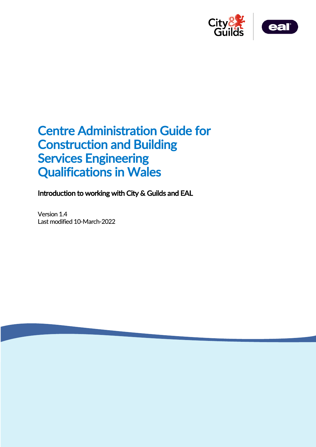



# Centre Administration Guide for Construction and Building Services Engineering Qualifications in Wales

Introduction to working with City & Guilds and EAL

Version 1.4 Last modified 10-March-2022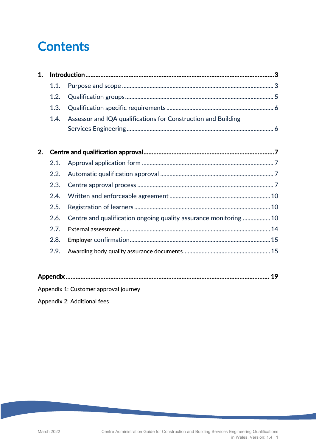# **Contents**

| 1. |      |                                                                  |  |
|----|------|------------------------------------------------------------------|--|
|    | 1.1. |                                                                  |  |
|    | 1.2. |                                                                  |  |
|    | 1.3. |                                                                  |  |
|    | 1.4. | Assessor and IQA qualifications for Construction and Building    |  |
|    |      |                                                                  |  |
|    |      |                                                                  |  |
| 2. |      |                                                                  |  |
|    | 2.1. |                                                                  |  |
|    | 2.2. |                                                                  |  |
|    | 2.3. |                                                                  |  |
|    | 2.4. |                                                                  |  |
|    | 2.5. |                                                                  |  |
|    | 2.6. | Centre and qualification ongoing quality assurance monitoring 10 |  |
|    | 2.7. |                                                                  |  |
|    | 2.8. |                                                                  |  |
|    | 2.9. |                                                                  |  |
|    |      |                                                                  |  |
|    |      |                                                                  |  |

Appendix 1: Customer approval journey

Appendix 2: Additional fees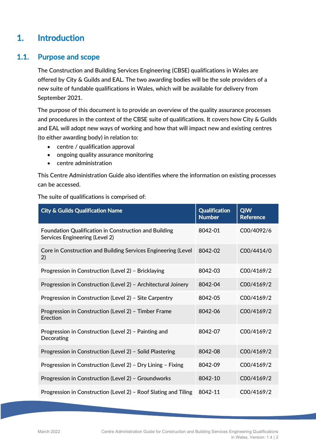# 1. Introduction

# 1.1. Purpose and scope

The Construction and Building Services Engineering (CBSE) qualifications in Wales are offered by City & Guilds and EAL. The two awarding bodies will be the sole providers of a new suite of fundable qualifications in Wales, which will be available for delivery from September 2021.

The purpose of this document is to provide an overview of the quality assurance processes and procedures in the context of the CBSE suite of qualifications. It covers how City & Guilds and EAL will adopt new ways of working and how that will impact new and existing centres (to either awarding body) in relation to:

- centre / qualification approval
- ongoing quality assurance monitoring
- centre administration

This Centre Administration Guide also identifies where the information on existing processes can be accessed.

|  |  |  | The suite of qualifications is comprised of: |  |
|--|--|--|----------------------------------------------|--|
|--|--|--|----------------------------------------------|--|

| <b>City &amp; Guilds Qualification Name</b>                                             | <b>Qualification</b><br><b>Number</b> | QiW<br><b>Reference</b> |
|-----------------------------------------------------------------------------------------|---------------------------------------|-------------------------|
| Foundation Qualification in Construction and Building<br>Services Engineering (Level 2) | 8042-01                               | C00/4092/6              |
| Core in Construction and Building Services Engineering (Level<br>2)                     | 8042-02                               | C00/4414/0              |
| Progression in Construction (Level 2) - Bricklaying                                     | 8042-03                               | C00/4169/2              |
| Progression in Construction (Level 2) - Architectural Joinery                           | 8042-04                               | C00/4169/2              |
| Progression in Construction (Level 2) - Site Carpentry                                  | 8042-05                               | C00/4169/2              |
| Progression in Construction (Level 2) - Timber Frame<br>Erection                        | 8042-06                               | C00/4169/2              |
| Progression in Construction (Level 2) - Painting and<br>Decorating                      | 8042-07                               | C00/4169/2              |
| Progression in Construction (Level 2) - Solid Plastering                                | 8042-08                               | C00/4169/2              |
| Progression in Construction (Level 2) - Dry Lining - Fixing                             | 8042-09                               | C00/4169/2              |
| Progression in Construction (Level 2) - Groundworks                                     | 8042-10                               | C00/4169/2              |
| Progression in Construction (Level 2) - Roof Slating and Tiling                         | 8042-11                               | C00/4169/2              |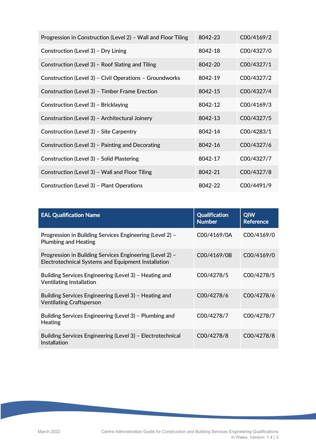| Progression in Construction (Level 2) - Wall and Floor Tiling | 8042-23 | C00/4169/2 |
|---------------------------------------------------------------|---------|------------|
| Construction (Level 3) - Dry Lining                           | 8042-18 | C00/4327/0 |
| Construction (Level 3) - Roof Slating and Tiling              | 8042-20 | C00/4327/1 |
| Construction (Level 3) - Civil Operations - Groundworks       | 8042-19 | C00/4327/2 |
| Construction (Level 3) - Timber Frame Erection                | 8042-15 | C00/4327/4 |
| Construction (Level 3) - Bricklaying                          | 8042-12 | C00/4169/3 |
| Construction (Level 3) - Architectural Joinery                | 8042-13 | C00/4327/5 |
| Construction (Level 3) - Site Carpentry                       | 8042-14 | C00/4283/1 |
| Construction (Level 3) - Painting and Decorating              | 8042-16 | C00/4327/6 |
| Construction (Level 3) - Solid Plastering                     | 8042-17 | C00/4327/7 |
| Construction (Level 3) - Wall and Floor Tiling                | 8042-21 | C00/4327/8 |
| Construction (Level 3) - Plant Operations                     | 8042-22 | C00/4491/9 |

| <b>EAL Qualification Name</b>                                                                                   | <b>Qualification</b><br><b>Number</b> | QiW<br><b>Reference</b> |
|-----------------------------------------------------------------------------------------------------------------|---------------------------------------|-------------------------|
| Progression in Building Services Engineering (Level 2) -<br><b>Plumbing and Heating</b>                         | C00/4169/0A                           | C00/4169/0              |
| Progression in Building Services Engineering (Level 2) -<br>Electrotechnical Systems and Equipment Installation | C00/4169/0B                           | C00/4169/0              |
| Building Services Engineering (Level 3) - Heating and<br><b>Ventilating Installation</b>                        | C00/4278/5                            | C00/4278/5              |
| Building Services Engineering (Level 3) - Heating and<br><b>Ventilating Craftsperson</b>                        | C00/4278/6                            | C00/4278/6              |
| Building Services Engineering (Level 3) - Plumbing and<br>Heating                                               | C00/4278/7                            | C00/4278/7              |
| Building Services Engineering (Level 3) - Electrotechnical<br>Installation                                      | C00/4278/8                            | C00/4278/8              |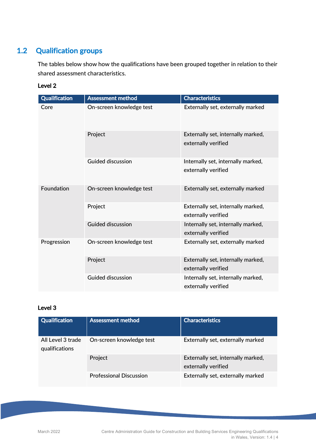# 1.2 Qualification groups

The tables below show how the qualifications have been grouped together in relation to their shared assessment characteristics.

#### Level 2

| <b>Qualification</b> | <b>Assessment method</b> | <b>Characteristics</b>                                    |
|----------------------|--------------------------|-----------------------------------------------------------|
| Core                 | On-screen knowledge test | Externally set, externally marked                         |
|                      | Project                  | Externally set, internally marked,<br>externally verified |
|                      | <b>Guided discussion</b> | Internally set, internally marked,<br>externally verified |
| Foundation           | On-screen knowledge test | Externally set, externally marked                         |
|                      | Project                  | Externally set, internally marked,<br>externally verified |
|                      | <b>Guided discussion</b> | Internally set, internally marked,<br>externally verified |
| Progression          | On-screen knowledge test | Externally set, externally marked                         |
|                      | Project                  | Externally set, internally marked,<br>externally verified |
|                      | <b>Guided discussion</b> | Internally set, internally marked,<br>externally verified |

#### Level 3

| <b>Qualification</b>                | <b>Assessment method</b>       | <b>Characteristics</b>                                    |
|-------------------------------------|--------------------------------|-----------------------------------------------------------|
| All Level 3 trade<br>qualifications | On-screen knowledge test       | Externally set, externally marked                         |
|                                     | Project                        | Externally set, internally marked,<br>externally verified |
|                                     | <b>Professional Discussion</b> | Externally set, externally marked                         |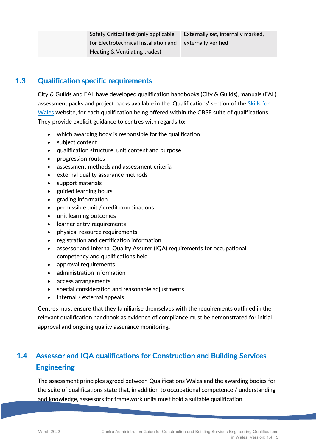Safety Critical test (only applicable for Electrotechnical Installation and Heating & Ventilating trades) Externally set, internally marked, externally verified

# 1.3 Qualification specific requirements

City & Guilds and EAL have developed qualification handbooks (City & Guilds), manuals (EAL), assessment packs and project packs available in the 'Qualifications' section of the Skills for Wales website, for each qualification being offered within the CBSE suite of qualifications. They provide explicit guidance to centres with regards to:

- which awarding body is responsible for the qualification
- subject content
- qualification structure, unit content and purpose
- progression routes
- assessment methods and assessment criteria
- external quality assurance methods
- support materials
- guided learning hours
- grading information
- permissible unit / credit combinations
- unit learning outcomes
- learner entry requirements
- physical resource requirements
- registration and certification information
- assessor and Internal Quality Assurer (IQA) requirements for occupational competency and qualifications held
- approval requirements
- administration information
- access arrangements
- special consideration and reasonable adjustments
- internal / external appeals

Centres must ensure that they familiarise themselves with the requirements outlined in the relevant qualification handbook as evidence of compliance must be demonstrated for initial approval and ongoing quality assurance monitoring.

# 1.4 Assessor and IQA qualifications for Construction and Building Services **Engineering**

The assessment principles agreed between Qualifications Wales and the awarding bodies for the suite of qualifications state that, in addition to occupational competence / understanding and knowledge, assessors for framework units must hold a suitable qualification.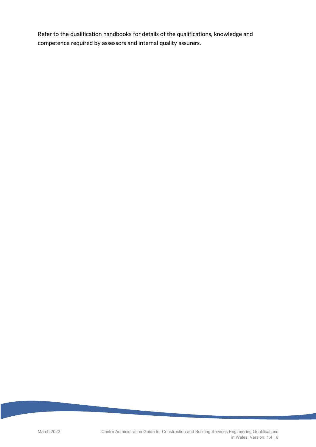Refer to the qualification handbooks for details of the qualifications, knowledge and competence required by assessors and internal quality assurers.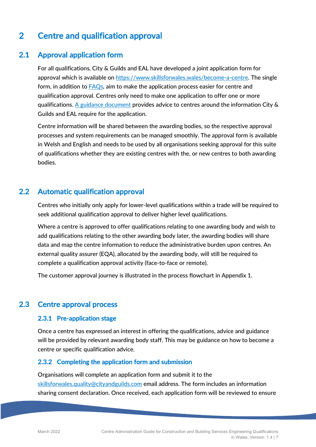# 2 Centre and qualification approval

# 2.1 Approval application form

For all qualifications, City & Guilds and EAL have developed a joint application form for approval which is available on https://www.skillsforwales.wales/become-a-centre. The single form, in addition to **FAQs**, aim to make the application process easier for centre and qualification approval. Centres only need to make one application to offer one or more qualifications. A guidance document provides advice to centres around the information City  $\&$ Guilds and EAL require for the application.

Centre information will be shared between the awarding bodies, so the respective approval processes and system requirements can be managed smoothly. The approval form is available in Welsh and English and needs to be used by all organisations seeking approval for this suite of qualifications whether they are existing centres with the, or new centres to both awarding bodies.

# 2.2 Automatic qualification approval

Centres who initially only apply for lower-level qualifications within a trade will be required to seek additional qualification approval to deliver higher level qualifications.

Where a centre is approved to offer qualifications relating to one awarding body and wish to add qualifications relating to the other awarding body later, the awarding bodies will share data and map the centre information to reduce the administrative burden upon centres. An external quality assurer (EQA), allocated by the awarding body, will still be required to complete a qualification approval activity (face-to-face or remote).

The customer approval journey is illustrated in the process flowchart in Appendix 1.

# 2.3 Centre approval process

#### 2.3.1 Pre-application stage

Once a centre has expressed an interest in offering the qualifications, advice and guidance will be provided by relevant awarding body staff. This may be guidance on how to become a centre or specific qualification advice.

#### 2.3.2 Completing the application form and submission

Organisations will complete an application form and submit it to the skillsforwales.quality@cityandguilds.com email address. The form includes an information sharing consent declaration. Once received, each application form will be reviewed to ensure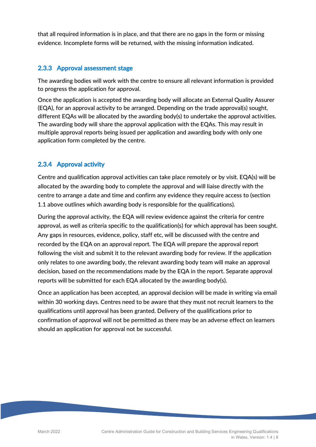that all required information is in place, and that there are no gaps in the form or missing evidence. Incomplete forms will be returned, with the missing information indicated.

#### 2.3.3 Approval assessment stage

The awarding bodies will work with the centre to ensure all relevant information is provided to progress the application for approval.

Once the application is accepted the awarding body will allocate an External Quality Assurer (EQA), for an approval activity to be arranged. Depending on the trade approval(s) sought, different EQAs will be allocated by the awarding body(s) to undertake the approval activities. The awarding body will share the approval application with the EQAs. This may result in multiple approval reports being issued per application and awarding body with only one application form completed by the centre.

### 2.3.4 Approval activity

Centre and qualification approval activities can take place remotely or by visit. EQA(s) will be allocated by the awarding body to complete the approval and will liaise directly with the centre to arrange a date and time and confirm any evidence they require access to (section 1.1 above outlines which awarding body is responsible for the qualifications).

During the approval activity, the EQA will review evidence against the criteria for centre approval, as well as criteria specific to the qualification(s) for which approval has been sought. Any gaps in resources, evidence, policy, staff etc, will be discussed with the centre and recorded by the EQA on an approval report. The EQA will prepare the approval report following the visit and submit it to the relevant awarding body for review. If the application only relates to one awarding body, the relevant awarding body team will make an approval decision, based on the recommendations made by the EQA in the report. Separate approval reports will be submitted for each EQA allocated by the awarding body(s).

Once an application has been accepted, an approval decision will be made in writing via email within 30 working days. Centres need to be aware that they must not recruit learners to the qualifications until approval has been granted. Delivery of the qualifications prior to confirmation of approval will not be permitted as there may be an adverse effect on learners should an application for approval not be successful.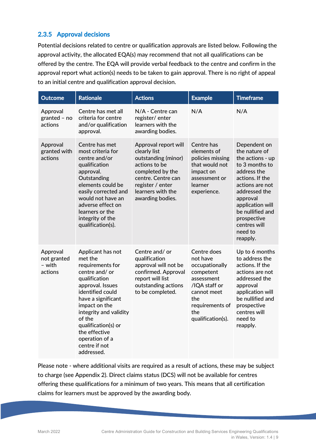#### 2.3.5 Approval decisions

Potential decisions related to centre or qualification approvals are listed below. Following the approval activity, the allocated EQA(s) may recommend that not all qualifications can be offered by the centre. The EQA will provide verbal feedback to the centre and confirm in the approval report what action(s) needs to be taken to gain approval. There is no right of appeal to an initial centre and qualification approval decision.

| <b>Outcome</b>                               | <b>Rationale</b>                                                                                                                                                                                                                                                                               | <b>Actions</b>                                                                                                                                                                      | <b>Example</b>                                                                                                                                             | <b>Timeframe</b>                                                                                                                                                                                                                                    |
|----------------------------------------------|------------------------------------------------------------------------------------------------------------------------------------------------------------------------------------------------------------------------------------------------------------------------------------------------|-------------------------------------------------------------------------------------------------------------------------------------------------------------------------------------|------------------------------------------------------------------------------------------------------------------------------------------------------------|-----------------------------------------------------------------------------------------------------------------------------------------------------------------------------------------------------------------------------------------------------|
| Approval<br>granted - no<br>actions          | Centre has met all<br>criteria for centre<br>and/or qualification<br>approval.                                                                                                                                                                                                                 | N/A - Centre can<br>register/enter<br>learners with the<br>awarding bodies.                                                                                                         | N/A                                                                                                                                                        | N/A                                                                                                                                                                                                                                                 |
| Approval<br>granted with<br>actions          | Centre has met<br>most criteria for<br>centre and/or<br>qualification<br>approval.<br>Outstanding<br>elements could be<br>easily corrected and<br>would not have an<br>adverse effect on<br>learners or the<br>integrity of the<br>qualification(s).                                           | Approval report will<br>clearly list<br>outstanding (minor)<br>actions to be<br>completed by the<br>centre. Centre can<br>register / enter<br>learners with the<br>awarding bodies. | Centre has<br>elements of<br>policies missing<br>that would not<br>impact on<br>assessment or<br>learner<br>experience.                                    | Dependent on<br>the nature of<br>the actions - up<br>to 3 months to<br>address the<br>actions. If the<br>actions are not<br>addressed the<br>approval<br>application will<br>be nullified and<br>prospective<br>centres will<br>need to<br>reapply. |
| Approval<br>not granted<br>– with<br>actions | Applicant has not<br>met the<br>requirements for<br>centre and/or<br>qualification<br>approval. Issues<br>identified could<br>have a significant<br>impact on the<br>integrity and validity<br>of the<br>qualification(s) or<br>the effective<br>operation of a<br>centre if not<br>addressed. | Centre and/or<br>qualification<br>approval will not be<br>confirmed. Approval<br>report will list<br>outstanding actions<br>to be completed.                                        | Centre does<br>not have<br>occupationally<br>competent<br>assessment<br>/IQA staff or<br>cannot meet<br>the<br>requirements of<br>the<br>qualification(s). | Up to 6 months<br>to address the<br>actions. If the<br>actions are not<br>addressed the<br>approval<br>application will<br>be nullified and<br>prospective<br>centres will<br>need to<br>reapply.                                                   |

Please note - where additional visits are required as a result of actions, these may be subject to charge (see Appendix 2). Direct claims status (DCS) will not be available for centres offering these qualifications for a minimum of two years. This means that all certification claims for learners must be approved by the awarding body.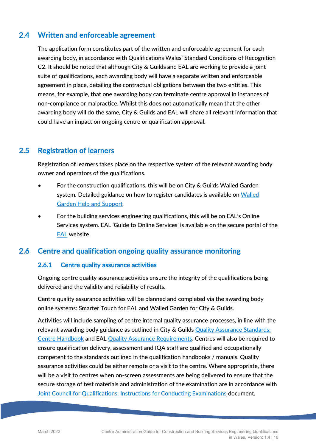# 2.4 Written and enforceable agreement

The application form constitutes part of the written and enforceable agreement for each awarding body, in accordance with Qualifications Wales' Standard Conditions of Recognition C2. It should be noted that although City & Guilds and EAL are working to provide a joint suite of qualifications, each awarding body will have a separate written and enforceable agreement in place, detailing the contractual obligations between the two entities. This means, for example, that one awarding body can terminate centre approval in instances of non-compliance or malpractice. Whilst this does not automatically mean that the other awarding body will do the same, City & Guilds and EAL will share all relevant information that could have an impact on ongoing centre or qualification approval.

## 2.5 Registration of learners

Registration of learners takes place on the respective system of the relevant awarding body owner and operators of the qualifications.

- For the construction qualifications, this will be on City & Guilds Walled Garden system. Detailed guidance on how to register candidates is available on Walled Garden Help and Support
- For the building services engineering qualifications, this will be on EAL's Online Services system. EAL 'Guide to Online Services' is available on the secure portal of the EAL website

# 2.6 Centre and qualification ongoing quality assurance monitoring

#### 2.6.1 Centre quality assurance activities

Ongoing centre quality assurance activities ensure the integrity of the qualifications being delivered and the validity and reliability of results.

Centre quality assurance activities will be planned and completed via the awarding body online systems: Smarter Touch for EAL and Walled Garden for City & Guilds.

Activities will include sampling of centre internal quality assurance processes, in line with the relevant awarding body guidance as outlined in City & Guilds Quality Assurance Standards: Centre Handbook and EAL Quality Assurance Requirements. Centres will also be required to ensure qualification delivery, assessment and IQA staff are qualified and occupationally competent to the standards outlined in the qualification handbooks / manuals. Quality assurance activities could be either remote or a visit to the centre. Where appropriate, there will be a visit to centres when on-screen assessments are being delivered to ensure that the secure storage of test materials and administration of the examination are in accordance with Joint Council for Qualifications: Instructions for Conducting Examinations document.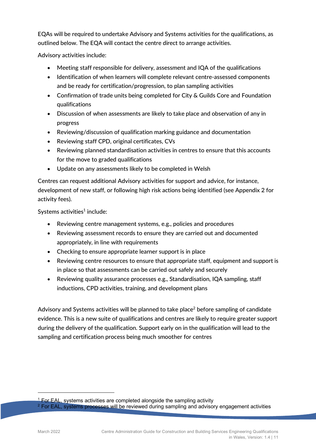EQAs will be required to undertake Advisory and Systems activities for the qualifications, as outlined below. The EQA will contact the centre direct to arrange activities.

Advisory activities include:

- Meeting staff responsible for delivery, assessment and IQA of the qualifications
- Identification of when learners will complete relevant centre-assessed components and be ready for certification/progression, to plan sampling activities
- Confirmation of trade units being completed for City & Guilds Core and Foundation qualifications
- Discussion of when assessments are likely to take place and observation of any in progress
- Reviewing/discussion of qualification marking guidance and documentation
- Reviewing staff CPD, original certificates, CVs
- Reviewing planned standardisation activities in centres to ensure that this accounts for the move to graded qualifications
- Update on any assessments likely to be completed in Welsh

Centres can request additional Advisory activities for support and advice, for instance, development of new staff, or following high risk actions being identified (see Appendix 2 for activity fees).

Systems activities $1$  include:

- Reviewing centre management systems, e.g., policies and procedures
- Reviewing assessment records to ensure they are carried out and documented appropriately, in line with requirements
- Checking to ensure appropriate learner support is in place
- Reviewing centre resources to ensure that appropriate staff, equipment and support is in place so that assessments can be carried out safely and securely
- Reviewing quality assurance processes e.g., Standardisation, IQA sampling, staff inductions, CPD activities, training, and development plans

Advisory and Systems activities will be planned to take place<sup>2</sup> before sampling of candidate evidence. This is a new suite of qualifications and centres are likely to require greater support during the delivery of the qualification. Support early on in the qualification will lead to the sampling and certification process being much smoother for centres

-

 $1$  For EAL, systems activities are completed alongside the sampling activity

 $2$  For EAL, systems processes will be reviewed during sampling and advisory engagement activities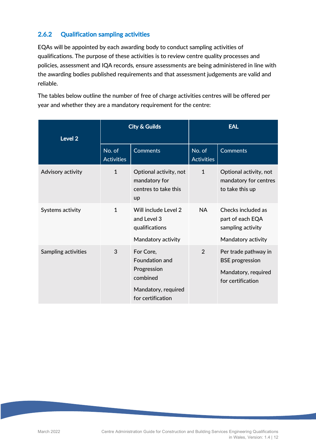# 2.6.2 Qualification sampling activities

EQAs will be appointed by each awarding body to conduct sampling activities of qualifications. The purpose of these activities is to review centre quality processes and policies, assessment and IQA records, ensure assessments are being administered in line with the awarding bodies published requirements and that assessment judgements are valid and reliable.

The tables below outline the number of free of charge activities centres will be offered per year and whether they are a mandatory requirement for the centre:

| Level 2             | <b>City &amp; Guilds</b>    |                                                                                                    | <b>EAL</b>                  |                                                                                            |
|---------------------|-----------------------------|----------------------------------------------------------------------------------------------------|-----------------------------|--------------------------------------------------------------------------------------------|
|                     | No. of<br><b>Activities</b> | <b>Comments</b>                                                                                    | No. of<br><b>Activities</b> | <b>Comments</b>                                                                            |
| Advisory activity   | $\mathbf{1}$                | Optional activity, not<br>mandatory for<br>centres to take this<br><b>up</b>                       | $\mathbf{1}$                | Optional activity, not<br>mandatory for centres<br>to take this up                         |
| Systems activity    | $\mathbf{1}$                | Will include Level 2<br>and Level 3<br>qualifications<br>Mandatory activity                        | <b>NA</b>                   | Checks included as<br>part of each EQA<br>sampling activity<br>Mandatory activity          |
| Sampling activities | 3                           | For Core,<br>Foundation and<br>Progression<br>combined<br>Mandatory, required<br>for certification | $\mathfrak{D}$              | Per trade pathway in<br><b>BSE</b> progression<br>Mandatory, required<br>for certification |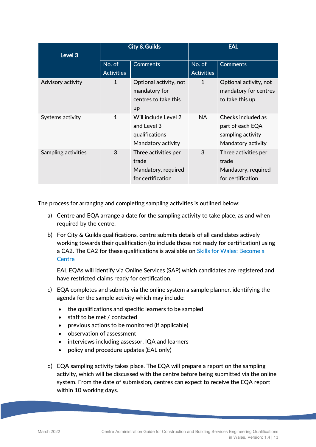| Level 3             | <b>City &amp; Guilds</b>    |                                                                              | <b>EAL</b>                  |                                                                                   |
|---------------------|-----------------------------|------------------------------------------------------------------------------|-----------------------------|-----------------------------------------------------------------------------------|
|                     | No. of<br><b>Activities</b> | <b>Comments</b>                                                              | No. of<br><b>Activities</b> | <b>Comments</b>                                                                   |
| Advisory activity   | 1                           | Optional activity, not<br>mandatory for<br>centres to take this<br><b>up</b> | 1                           | Optional activity, not<br>mandatory for centres<br>to take this up                |
| Systems activity    | $\mathbf{1}$                | Will include Level 2<br>and Level 3<br>qualifications<br>Mandatory activity  | NA.                         | Checks included as<br>part of each EQA<br>sampling activity<br>Mandatory activity |
| Sampling activities | 3                           | Three activities per<br>trade<br>Mandatory, required<br>for certification    | 3                           | Three activities per<br>trade<br>Mandatory, required<br>for certification         |

The process for arranging and completing sampling activities is outlined below:

- a) Centre and EQA arrange a date for the sampling activity to take place, as and when required by the centre.
- b) For City & Guilds qualifications, centre submits details of all candidates actively working towards their qualification (to include those not ready for certification) using a CA2. The CA2 for these qualifications is available on Skills for Wales: Become a **Centre**

EAL EQAs will identify via Online Services (SAP) which candidates are registered and have restricted claims ready for certification.

- c) EQA completes and submits via the online system a sample planner, identifying the agenda for the sample activity which may include:
	- the qualifications and specific learners to be sampled
	- staff to be met / contacted
	- previous actions to be monitored (if applicable)
	- observation of assessment
	- interviews including assessor, IQA and learners
	- policy and procedure updates (EAL only)
- d) EQA sampling activity takes place. The EQA will prepare a report on the sampling activity, which will be discussed with the centre before being submitted via the online system. From the date of submission, centres can expect to receive the EQA report within 10 working days.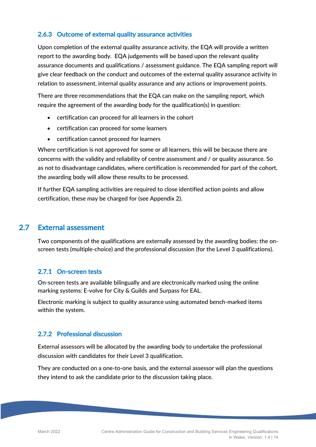#### 2.6.3 Outcome of external quality assurance activities

Upon completion of the external quality assurance activity, the EQA will provide a written report to the awarding body. EQA judgements will be based upon the relevant quality assurance documents and qualifications / assessment guidance. The EQA sampling report will give clear feedback on the conduct and outcomes of the external quality assurance activity in relation to assessment, internal quality assurance and any actions or improvement points.

There are three recommendations that the EQA can make on the sampling report, which require the agreement of the awarding body for the qualification(s) in question:

- certification can proceed for all learners in the cohort
- certification can proceed for some learners
- certification cannot proceed for learners

Where certification is not approved for some or all learners, this will be because there are concerns with the validity and reliability of centre assessment and / or quality assurance. So as not to disadvantage candidates, where certification is recommended for part of the cohort, the awarding body will allow these results to be processed.

If further EQA sampling activities are required to close identified action points and allow certification, these may be charged for (see Appendix 2).

### 2.7 External assessment

Two components of the qualifications are externally assessed by the awarding bodies: the onscreen tests (multiple-choice) and the professional discussion (for the Level 3 qualifications).

#### 2.7.1 On-screen tests

On-screen tests are available bilingually and are electronically marked using the online marking systems: E-volve for City & Guilds and Surpass for EAL.

Electronic marking is subject to quality assurance using automated bench-marked items within the system.

#### 2.7.2 Professional discussion

External assessors will be allocated by the awarding body to undertake the professional discussion with candidates for their Level 3 qualification.

They are conducted on a one-to-one basis, and the external assessor will plan the questions they intend to ask the candidate prior to the discussion taking place.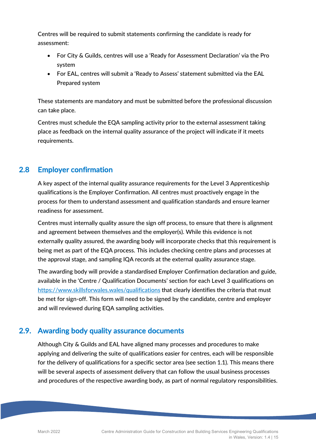Centres will be required to submit statements confirming the candidate is ready for assessment:

- For City & Guilds, centres will use a 'Ready for Assessment Declaration' via the Pro system
- For EAL, centres will submit a 'Ready to Assess' statement submitted via the EAL Prepared system

These statements are mandatory and must be submitted before the professional discussion can take place.

Centres must schedule the EQA sampling activity prior to the external assessment taking place as feedback on the internal quality assurance of the project will indicate if it meets requirements.

# 2.8 Employer confirmation

A key aspect of the internal quality assurance requirements for the Level 3 Apprenticeship qualifications is the Employer Confirmation. All centres must proactively engage in the process for them to understand assessment and qualification standards and ensure learner readiness for assessment.

Centres must internally quality assure the sign off process, to ensure that there is alignment and agreement between themselves and the employer(s). While this evidence is not externally quality assured, the awarding body will incorporate checks that this requirement is being met as part of the EQA process. This includes checking centre plans and processes at the approval stage, and sampling IQA records at the external quality assurance stage.

The awarding body will provide a standardised Employer Confirmation declaration and guide, available in the 'Centre / Qualification Documents' section for each Level 3 qualifications on https://www.skillsforwales.wales/qualifications that clearly identifies the criteria that must be met for sign-off. This form will need to be signed by the candidate, centre and employer and will reviewed during EQA sampling activities.

# 2.9. Awarding body quality assurance documents

Although City & Guilds and EAL have aligned many processes and procedures to make applying and delivering the suite of qualifications easier for centres, each will be responsible for the delivery of qualifications for a specific sector area (see section 1.1). This means there will be several aspects of assessment delivery that can follow the usual business processes and procedures of the respective awarding body, as part of normal regulatory responsibilities.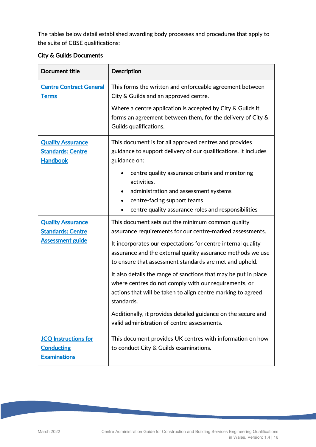The tables below detail established awarding body processes and procedures that apply to the suite of CBSE qualifications:

| <b>City &amp; Guilds Documents</b> |
|------------------------------------|
|------------------------------------|

| <b>Document title</b>                                                           | <b>Description</b>                                                                                                                                                                                                                                                                                                                                                                                                                                                                                                                                                                                                                 |  |  |
|---------------------------------------------------------------------------------|------------------------------------------------------------------------------------------------------------------------------------------------------------------------------------------------------------------------------------------------------------------------------------------------------------------------------------------------------------------------------------------------------------------------------------------------------------------------------------------------------------------------------------------------------------------------------------------------------------------------------------|--|--|
| <b>Centre Contract General</b><br><b>Terms</b>                                  | This forms the written and enforceable agreement between<br>City & Guilds and an approved centre.                                                                                                                                                                                                                                                                                                                                                                                                                                                                                                                                  |  |  |
|                                                                                 | Where a centre application is accepted by City & Guilds it<br>forms an agreement between them, for the delivery of City &<br>Guilds qualifications.                                                                                                                                                                                                                                                                                                                                                                                                                                                                                |  |  |
| <b>Quality Assurance</b><br><b>Standards: Centre</b><br><b>Handbook</b>         | This document is for all approved centres and provides<br>guidance to support delivery of our qualifications. It includes<br>guidance on:                                                                                                                                                                                                                                                                                                                                                                                                                                                                                          |  |  |
|                                                                                 | centre quality assurance criteria and monitoring<br>activities.<br>administration and assessment systems<br>centre-facing support teams<br>centre quality assurance roles and responsibilities                                                                                                                                                                                                                                                                                                                                                                                                                                     |  |  |
| <b>Quality Assurance</b><br><b>Standards: Centre</b><br><b>Assessment guide</b> | This document sets out the minimum common quality<br>assurance requirements for our centre-marked assessments.<br>It incorporates our expectations for centre internal quality<br>assurance and the external quality assurance methods we use<br>to ensure that assessment standards are met and upheld.<br>It also details the range of sanctions that may be put in place<br>where centres do not comply with our requirements, or<br>actions that will be taken to align centre marking to agreed<br>standards.<br>Additionally, it provides detailed guidance on the secure and<br>valid administration of centre-assessments. |  |  |
| <b>JCQ Instructions for</b><br><b>Conducting</b><br><b>Examinations</b>         | This document provides UK centres with information on how<br>to conduct City & Guilds examinations.                                                                                                                                                                                                                                                                                                                                                                                                                                                                                                                                |  |  |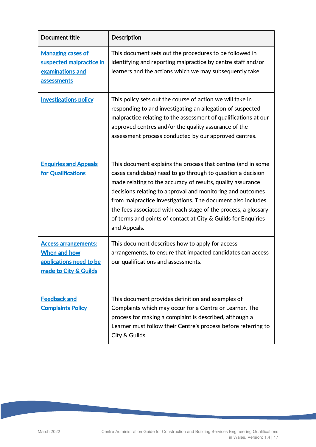| <b>Document title</b>                                                                           | <b>Description</b>                                                                                                                                                                                                                                                                                                                                                                                                                                                         |
|-------------------------------------------------------------------------------------------------|----------------------------------------------------------------------------------------------------------------------------------------------------------------------------------------------------------------------------------------------------------------------------------------------------------------------------------------------------------------------------------------------------------------------------------------------------------------------------|
| <b>Managing cases of</b><br>suspected malpractice in<br>examinations and<br>assessments         | This document sets out the procedures to be followed in<br>identifying and reporting malpractice by centre staff and/or<br>learners and the actions which we may subsequently take.                                                                                                                                                                                                                                                                                        |
| <b>Investigations policy</b>                                                                    | This policy sets out the course of action we will take in<br>responding to and investigating an allegation of suspected<br>malpractice relating to the assessment of qualifications at our<br>approved centres and/or the quality assurance of the<br>assessment process conducted by our approved centres.                                                                                                                                                                |
| <b>Enquiries and Appeals</b><br>for Qualifications                                              | This document explains the process that centres (and in some<br>cases candidates) need to go through to question a decision<br>made relating to the accuracy of results, quality assurance<br>decisions relating to approval and monitoring and outcomes<br>from malpractice investigations. The document also includes<br>the fees associated with each stage of the process, a glossary<br>of terms and points of contact at City & Guilds for Enquiries<br>and Appeals. |
| <b>Access arrangements:</b><br>When and how<br>applications need to be<br>made to City & Guilds | This document describes how to apply for access<br>arrangements, to ensure that impacted candidates can access<br>our qualifications and assessments.                                                                                                                                                                                                                                                                                                                      |
| <b>Feedback and</b><br><b>Complaints Policy</b>                                                 | This document provides definition and examples of<br>Complaints which may occur for a Centre or Learner. The<br>process for making a complaint is described, although a<br>Learner must follow their Centre's process before referring to<br>City & Guilds.                                                                                                                                                                                                                |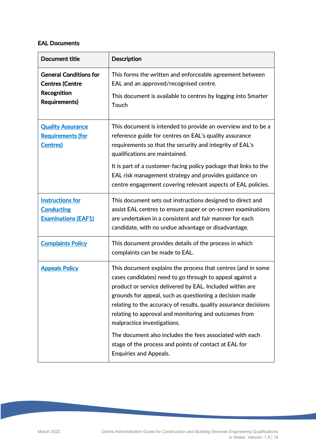#### EAL Documents

| <b>Document title</b>                                                                          | <b>Description</b>                                                                                                                                                                                                                                                                                                                                                                                                |  |
|------------------------------------------------------------------------------------------------|-------------------------------------------------------------------------------------------------------------------------------------------------------------------------------------------------------------------------------------------------------------------------------------------------------------------------------------------------------------------------------------------------------------------|--|
| <b>General Conditions for</b><br><b>Centres (Centre</b><br>Recognition<br><b>Requirements)</b> | This forms the written and enforceable agreement between<br>EAL and an approved/recognised centre.<br>This document is available to centres by logging into Smarter<br>Touch                                                                                                                                                                                                                                      |  |
| <b>Quality Assurance</b><br><b>Requirements (for</b><br><b>Centres</b> )                       | This document is intended to provide an overview and to be a<br>reference guide for centres on EAL's quality assurance<br>requirements so that the security and integrity of EAL's<br>qualifications are maintained.<br>It is part of a customer-facing policy package that links to the<br>EAL risk management strategy and provides guidance on<br>centre engagement covering relevant aspects of EAL policies. |  |
| <b>Instructions for</b><br><b>Conducting</b><br><b>Examinations (EAF1)</b>                     | This document sets out instructions designed to direct and<br>assist EAL centres to ensure paper or on-screen examinations<br>are undertaken in a consistent and fair manner for each<br>candidate, with no undue advantage or disadvantage.                                                                                                                                                                      |  |
| <b>Complaints Policy</b>                                                                       | This document provides details of the process in which<br>complaints can be made to EAL.                                                                                                                                                                                                                                                                                                                          |  |
| <b>Appeals Policy</b>                                                                          | This document explains the process that centres (and in some<br>cases candidates) need to go through to appeal against a<br>product or service delivered by EAL. Included within are<br>grounds for appeal, such as questioning a decision made<br>relating to the accuracy of results, quality assurance decisions<br>relating to approval and monitoring and outcomes from<br>malpractice investigations.       |  |
|                                                                                                | The document also includes the fees associated with each<br>stage of the process and points of contact at EAL for<br><b>Enquiries and Appeals.</b>                                                                                                                                                                                                                                                                |  |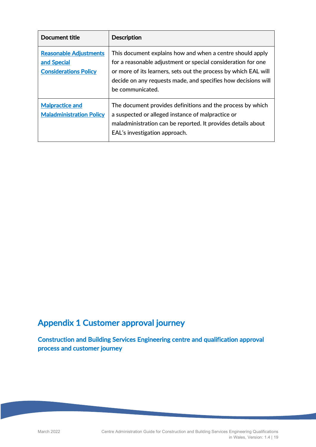| Document title                                                               | <b>Description</b>                                                                                                                                                                                                                                                                |
|------------------------------------------------------------------------------|-----------------------------------------------------------------------------------------------------------------------------------------------------------------------------------------------------------------------------------------------------------------------------------|
| <b>Reasonable Adjustments</b><br>and Special<br><b>Considerations Policy</b> | This document explains how and when a centre should apply<br>for a reasonable adjustment or special consideration for one<br>or more of its learners, sets out the process by which EAL will<br>decide on any requests made, and specifies how decisions will<br>be communicated. |
| <b>Malpractice and</b><br><b>Maladministration Policy</b>                    | The document provides definitions and the process by which<br>a suspected or alleged instance of malpractice or<br>maladministration can be reported. It provides details about<br>EAL's investigation approach.                                                                  |

# Appendix 1 Customer approval journey

Construction and Building Services Engineering centre and qualification approval process and customer journey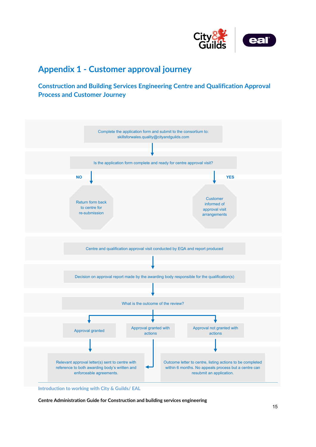

# **Appendix 1 - Customer approval journey**

## **Construction and Building Services Engineering Centre and Qualification Approval Process and Customer Journey**



**Introduction to working with City & Guilds/ EAL**

**Centre Administration Guide for Construction and building services engineering**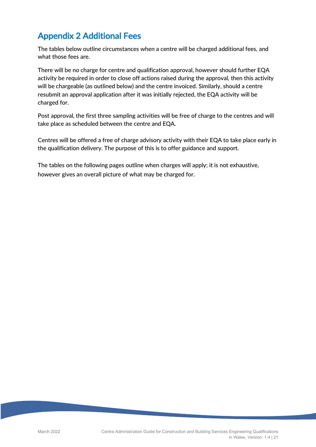# Appendix 2 Additional Fees

The tables below outline circumstances when a centre will be charged additional fees, and what those fees are.

There will be no charge for centre and qualification approval, however should further EQA activity be required in order to close off actions raised during the approval, then this activity will be chargeable (as outlined below) and the centre invoiced. Similarly, should a centre resubmit an approval application after it was initially rejected, the EQA activity will be charged for.

Post approval, the first three sampling activities will be free of charge to the centres and will take place as scheduled between the centre and EQA.

Centres will be offered a free of charge advisory activity with their EQA to take place early in the qualification delivery. The purpose of this is to offer guidance and support.

The tables on the following pages outline when charges will apply; it is not exhaustive, however gives an overall picture of what may be charged for.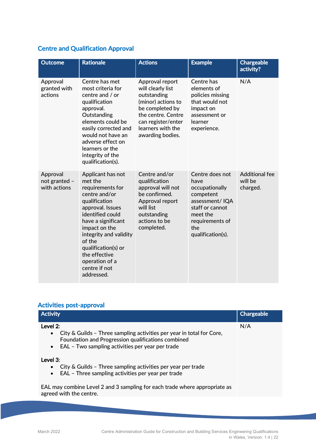# Centre and Qualification Approval

| <b>Outcome</b>                            | <b>Rationale</b>                                                                                                                                                                                                                                                                               | <b>Actions</b>                                                                                                                                                                    | <b>Example</b>                                                                                                                                         | <b>Chargeable</b><br>activity?               |
|-------------------------------------------|------------------------------------------------------------------------------------------------------------------------------------------------------------------------------------------------------------------------------------------------------------------------------------------------|-----------------------------------------------------------------------------------------------------------------------------------------------------------------------------------|--------------------------------------------------------------------------------------------------------------------------------------------------------|----------------------------------------------|
| Approval<br>granted with<br>actions       | Centre has met<br>most criteria for<br>centre and / or<br>qualification<br>approval.<br>Outstanding<br>elements could be<br>easily corrected and<br>would not have an<br>adverse effect on<br>learners or the<br>integrity of the<br>qualification(s).                                         | Approval report<br>will clearly list<br>outstanding<br>(minor) actions to<br>be completed by<br>the centre. Centre<br>can register/enter<br>learners with the<br>awarding bodies. | Centre has<br>elements of<br>policies missing<br>that would not<br>impact on<br>assessment or<br>learner<br>experience.                                | N/A                                          |
| Approval<br>not granted -<br>with actions | Applicant has not<br>met the<br>requirements for<br>centre and/or<br>qualification<br>approval. Issues<br>identified could<br>have a significant<br>impact on the<br>integrity and validity<br>of the<br>qualification(s) or<br>the effective<br>operation of a<br>centre if not<br>addressed. | Centre and/or<br>qualification<br>approval will not<br>be confirmed.<br>Approval report<br>will list<br>outstanding<br>actions to be<br>completed.                                | Centre does not<br>have<br>occupationally<br>competent<br>assessment/IQA<br>staff or cannot<br>meet the<br>requirements of<br>the<br>qualification(s). | <b>Additional fee</b><br>will be<br>charged. |

#### Activities post-approval

| <b>Activity</b>                                                                                                                                                                                                       | <b>Chargeable</b> |
|-----------------------------------------------------------------------------------------------------------------------------------------------------------------------------------------------------------------------|-------------------|
| Level 2:<br>City & Guilds - Three sampling activities per year in total for Core,<br>$\bullet$<br>Foundation and Progression qualifications combined<br>EAL - Two sampling activities per year per trade<br>$\bullet$ | N/A               |
| Level $3$ :<br>City & Guilds - Three sampling activities per year per trade<br>$\bullet$<br>EAL - Three sampling activities per year per trade<br>$\bullet$                                                           |                   |
| EAL may combine Level 2 and 3 sampling for each trade where appropriate as<br>agreed with the centre.                                                                                                                 |                   |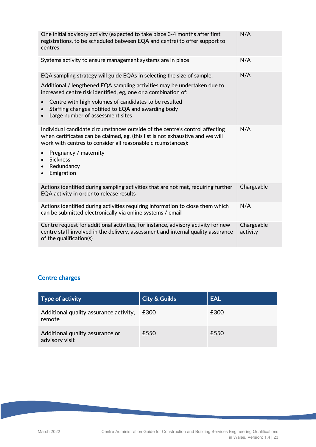| One initial advisory activity (expected to take place 3-4 months after first<br>registrations, to be scheduled between EQA and centre) to offer support to<br>centres                                                          | N/A                    |
|--------------------------------------------------------------------------------------------------------------------------------------------------------------------------------------------------------------------------------|------------------------|
| Systems activity to ensure management systems are in place                                                                                                                                                                     | N/A                    |
| EQA sampling strategy will guide EQAs in selecting the size of sample.                                                                                                                                                         | N/A                    |
| Additional / lengthened EQA sampling activities may be undertaken due to<br>increased centre risk identified, eg, one or a combination of:                                                                                     |                        |
| Centre with high volumes of candidates to be resulted<br>Staffing changes notified to EQA and awarding body<br>Large number of assessment sites                                                                                |                        |
| Individual candidate circumstances outside of the centre's control affecting<br>when certificates can be claimed, eg, (this list is not exhaustive and we will<br>work with centres to consider all reasonable circumstances): | N/A                    |
| Pregnancy / maternity<br>$\bullet$<br><b>Sickness</b><br>Redundancy<br>$\bullet$<br>Emigration<br>$\bullet$                                                                                                                    |                        |
| Actions identified during sampling activities that are not met, requiring further<br>EQA activity in order to release results                                                                                                  | Chargeable             |
| Actions identified during activities requiring information to close them which<br>can be submitted electronically via online systems / email                                                                                   | N/A                    |
| Centre request for additional activities, for instance, advisory activity for new<br>centre staff involved in the delivery, assessment and internal quality assurance<br>of the qualification(s)                               | Chargeable<br>activity |

# Centre charges

| <b>Type of activity</b>                           | <b>City &amp; Guilds</b> | <b>EAL</b> |
|---------------------------------------------------|--------------------------|------------|
| Additional quality assurance activity,<br>remote  | £300                     | £300       |
| Additional quality assurance or<br>advisory visit | £550                     | £550       |